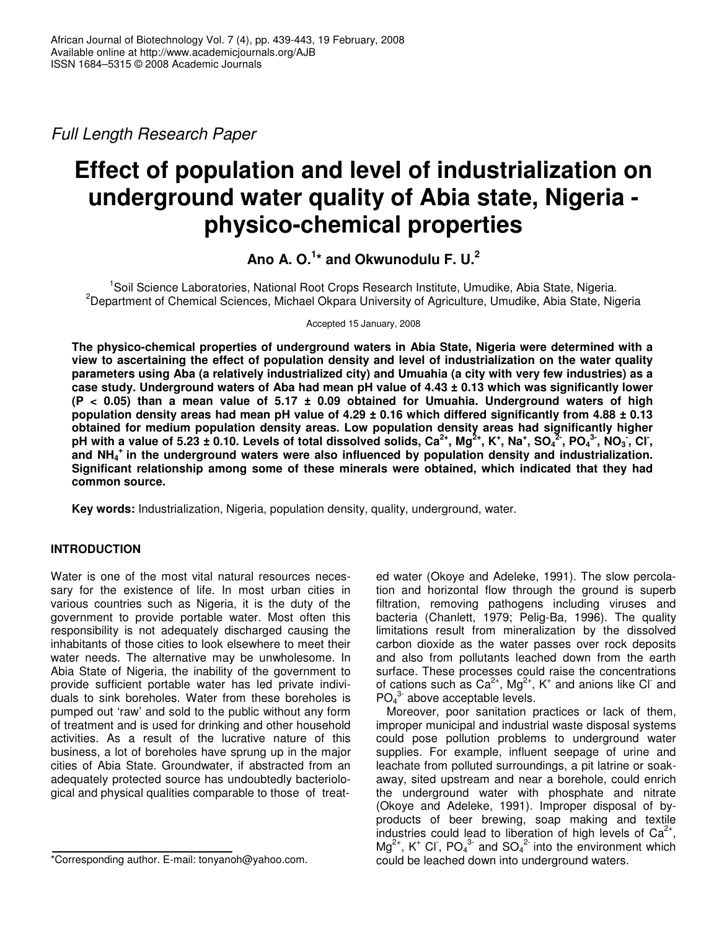*Full Length Research Paper*

# **Effect of population and level of industrialization on underground water quality of Abia state, Nigeria physico-chemical properties**

**Ano A. O. 1 \* and Okwunodulu F. U. 2**

<sup>1</sup>Soil Science Laboratories, National Root Crops Research Institute, Umudike, Abia State, Nigeria. <sup>2</sup>Department of Chemical Sciences, Michael Okpara University of Agriculture, Umudike, Abia State, Nigeria

Accepted 15 January, 2008

**The physico-chemical properties of underground waters in Abia State, Nigeria were determined with a view to ascertaining the effect of population density and level of industrialization on the water quality** parameters using Aba (a relatively industrialized city) and Umuahia (a city with very few industries) as a case study. Underground waters of Aba had mean pH value of 4.43 ± 0.13 which was significantly lower **(P < 0.05) than a mean value of 5.17 ± 0.09 obtained for Umuahia. Underground waters of high** population density areas had mean pH value of 4.29  $\pm$  0.16 which differed significantly from 4.88  $\pm$  0.13 **obtained for medium population density areas. Low population density areas had significantly higher** pH with a value of 5.23 ± 0.10. Levels of total dissolved solids, Ca $^{2+}$ , Mg $^{2+}$ , K $^+$ , Na $^+$ , SO $_4{}^{2+}$ , PO $_4{}^{3+}$ , NO $_3$ , Cl $\,$ , **and NH<sup>4</sup> + in the underground waters were also influenced by population density and industrialization. Significant relationship among some of these minerals were obtained, which indicated that they had common source.**

**Key words:** Industrialization, Nigeria, population density, quality, underground, water.

## **INTRODUCTION**

Water is one of the most vital natural resources necessary for the existence of life. In most urban cities in various countries such as Nigeria, it is the duty of the government to provide portable water. Most often this responsibility is not adequately discharged causing the inhabitants of those cities to look elsewhere to meet their water needs. The alternative may be unwholesome. In Abia State of Nigeria, the inability of the government to provide sufficient portable water has led private individuals to sink boreholes. Water from these boreholes is pumped out 'raw' and sold to the public without any form of treatment and is used for drinking and other household activities. As a result of the lucrative nature of this business, a lot of boreholes have sprung up in the major cities of Abia State. Groundwater, if abstracted from an adequately protected source has undoubtedly bacteriological and physical qualities comparable to those of treat-

ed water (Okoye and Adeleke, 1991). The slow percolation and horizontal flow through the ground is superb filtration, removing pathogens including viruses and bacteria (Chanlett, 1979; Pelig-Ba, 1996). The quality limitations result from mineralization by the dissolved carbon dioxide as the water passes over rock deposits and also from pollutants leached down from the earth surface. These processes could raise the concentrations of cations such as  $Ca^{2+}$ , Mg<sup>2+</sup>, K<sup>+</sup> and anions like Cl and  $PO<sub>4</sub><sup>3-</sup>$  above acceptable levels.

Moreover, poor sanitation practices or lack of them, improper municipal and industrial waste disposal systems could pose pollution problems to underground water supplies. For example, influent seepage of urine and leachate from polluted surroundings, a pit latrine or soakaway, sited upstream and near a borehole, could enrich the underground water with phosphate and nitrate (Okoye and Adeleke, 1991). Improper disposal of byproducts of beer brewing, soap making and textile industries could lead to liberation of high levels of  $Ca<sup>2+</sup>$ ,  $Mg^{2+}$ , K<sup>+</sup> Cl<sup>-</sup>, PO<sub>4</sub><sup>3-</sup> and SO<sub>4</sub><sup>2-</sup> into the environment which could be leached down into underground waters.

<sup>\*</sup>Corresponding author. E-mail: tonyanoh@yahoo.com.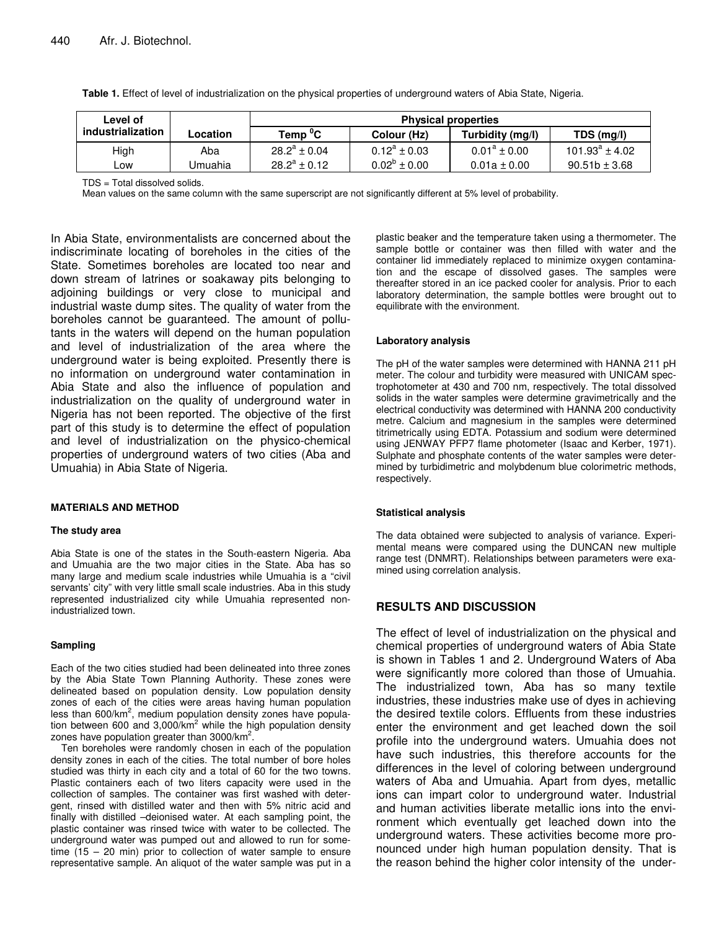| Level of          |          | <b>Physical properties</b> |                                 |                   |                     |  |  |  |  |
|-------------------|----------|----------------------------|---------------------------------|-------------------|---------------------|--|--|--|--|
| industrialization | Location | Temp <sup>0</sup> C        | Turbidity (mg/l)<br>Colour (Hz) |                   | TDS (mg/l)          |  |  |  |  |
| High              | Aba      | $28.2^a \pm 0.04$          | $0.12^a \pm 0.03$               | $0.01^a \pm 0.00$ | $101.93^a \pm 4.02$ |  |  |  |  |
| _ow               | Umuahia  | $28.2^a \pm 0.12$          | $0.02^{\circ} \pm 0.00$         | $0.01a \pm 0.00$  | $90.51b \pm 3.68$   |  |  |  |  |

**Table 1.** Effect of level of industrialization on the physical properties of underground waters of Abia State, Nigeria.

TDS = Total dissolved solids.

Mean values on the same column with the same superscript are not significantly different at 5% level of probability.

In Abia State, environmentalists are concerned about the indiscriminate locating of boreholes in the cities of the State. Sometimes boreholes are located too near and down stream of latrines or soakaway pits belonging to adjoining buildings or very close to municipal and industrial waste dump sites. The quality of water from the boreholes cannot be guaranteed. The amount of pollutants in the waters will depend on the human population and level of industrialization of the area where the underground water is being exploited. Presently there is no information on underground water contamination in Abia State and also the influence of population and industrialization on the quality of underground water in Nigeria has not been reported. The objective of the first part of this study is to determine the effect of population and level of industrialization on the physico-chemical properties of underground waters of two cities (Aba and Umuahia) in Abia State of Nigeria.

#### **MATERIALS AND METHOD**

#### **The study area**

Abia State is one of the states in the South-eastern Nigeria. Aba and Umuahia are the two major cities in the State. Aba has so many large and medium scale industries while Umuahia is a "civil servants' city" with very little small scale industries. Aba in this study represented industrialized city while Umuahia represented nonindustrialized town.

#### **Sampling**

Each of the two cities studied had been delineated into three zones by the Abia State Town Planning Authority. These zones were delineated based on population density. Low population density zones of each of the cities were areas having human population less than 600/km<sup>2</sup>, medium population density zones have population between 600 and 3,000/km<sup>2</sup> while the high population density zones have population greater than 3000/km<sup>2</sup>.

Ten boreholes were randomly chosen in each of the population density zones in each of the cities. The total number of bore holes studied was thirty in each city and a total of 60 for the two towns. Plastic containers each of two liters capacity were used in the collection of samples. The container was first washed with detergent, rinsed with distilled water and then with 5% nitric acid and finally with distilled –deionised water. At each sampling point, the plastic container was rinsed twice with water to be collected. The underground water was pumped out and allowed to run for sometime (15 – 20 min) prior to collection of water sample to ensure representative sample. An aliquot of the water sample was put in a

plastic beaker and the temperature taken using a thermometer. The sample bottle or container was then filled with water and the container lid immediately replaced to minimize oxygen contamination and the escape of dissolved gases. The samples were thereafter stored in an ice packed cooler for analysis. Prior to each laboratory determination, the sample bottles were brought out to equilibrate with the environment.

#### **Laboratory analysis**

The pH of the water samples were determined with HANNA 211 pH meter. The colour and turbidity were measured with UNICAM spectrophotometer at 430 and 700 nm, respectively. The total dissolved solids in the water samples were determine gravimetrically and the electrical conductivity was determined with HANNA 200 conductivity metre. Calcium and magnesium in the samples were determined titrimetrically using EDTA. Potassium and sodium were determined using JENWAY PFP7 flame photometer (Isaac and Kerber, 1971). Sulphate and phosphate contents of the water samples were determined by turbidimetric and molybdenum blue colorimetric methods, respectively.

#### **Statistical analysis**

The data obtained were subjected to analysis of variance. Experimental means were compared using the DUNCAN new multiple range test (DNMRT). Relationships between parameters were examined using correlation analysis.

## **RESULTS AND DISCUSSION**

The effect of level of industrialization on the physical and chemical properties of underground waters of Abia State is shown in Tables 1 and 2. Underground Waters of Aba were significantly more colored than those of Umuahia. The industrialized town, Aba has so many textile industries, these industries make use of dyes in achieving the desired textile colors. Effluents from these industries enter the environment and get leached down the soil profile into the underground waters. Umuahia does not have such industries, this therefore accounts for the differences in the level of coloring between underground waters of Aba and Umuahia. Apart from dyes, metallic ions can impart color to underground water. Industrial and human activities liberate metallic ions into the environment which eventually get leached down into the underground waters. These activities become more pronounced under high human population density. That is the reason behind the higher color intensity of the under-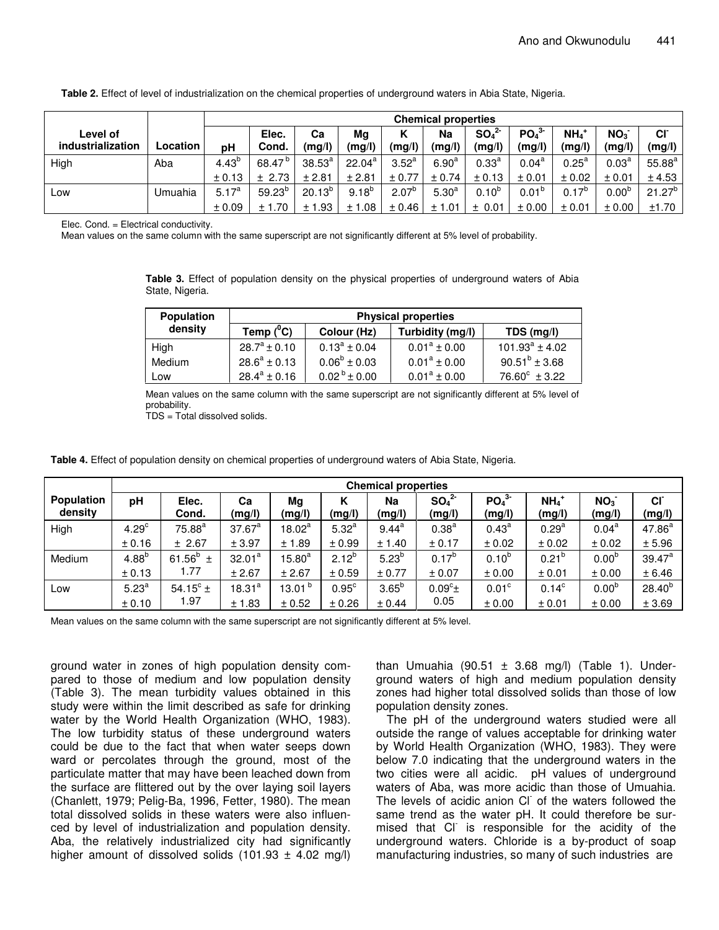|                               |          | <b>Chemical properties</b> |                    |              |                 |                   |                   |                                        |                                        |                              |                           |                     |
|-------------------------------|----------|----------------------------|--------------------|--------------|-----------------|-------------------|-------------------|----------------------------------------|----------------------------------------|------------------------------|---------------------------|---------------------|
| Level of<br>industrialization | Location | pН                         | Elec.<br>Cond.     | Ca<br>(mg/l) | Mg<br>(mg/l)    | Κ<br>(mg/l)       | Na<br>(mg/l)      | SO <sub>4</sub> <sup>2</sup><br>(mg/l) | PO <sub>4</sub> <sup>3</sup><br>(mg/l) | $NH4$ <sup>+</sup><br>(mg/l) | NO <sub>3</sub><br>(mg/l) | <b>CI</b><br>(mg/l) |
| High                          | Aba      | $4.43^{b}$                 | 68.47 <sup>b</sup> | $38.53^{a}$  | $22.04^{\circ}$ | $3.52^{\circ}$    | 6.90 <sup>a</sup> | $0.33^{a}$                             | $0.04^{\text{a}}$                      | $0.25^{\text{a}}$            | 0.03 <sup>a</sup>         | $55.88^{a}$         |
|                               |          | ± 0.13                     | ± 2.73             | ± 2.81       | ± 2.81          | ± 0.77            | ± 0.74            | ± 0.13                                 | ± 0.01                                 | ± 0.02                       | ± 0.01                    | ± 4.53              |
| Low                           | Umuahia  | $5.17^{a}$                 | $59.23^{b}$        | $20.13^{b}$  | $9.18^{b}$      | 2.07 <sup>b</sup> | 5.30 <sup>a</sup> | $0.10^{b}$                             | $0.01^{p}$                             | $0.17^{b}$                   | 0.00 <sup>b</sup>         | $21.27^{b}$         |
|                               |          | ± 0.09                     | .70<br>±1          | ± 1.93       | ± 1.08          | ± 0.46            | ± 1.01            | ± 0.01                                 | ± 0.00                                 | ± 0.01                       | ± 0.00                    | ±1.70               |

**Table 2.** Effect of level of industrialization on the chemical properties of underground waters in Abia State, Nigeria.

Elec. Cond. = Electrical conductivity.

Mean values on the same column with the same superscript are not significantly different at 5% level of probability.

**Table 3.** Effect of population density on the physical properties of underground waters of Abia State, Nigeria.

| <b>Population</b> | <b>Physical properties</b> |                         |                   |                          |  |  |  |  |  |
|-------------------|----------------------------|-------------------------|-------------------|--------------------------|--|--|--|--|--|
| density           | Temp $(^0C)$               | Colour (Hz)             | Turbidity (mg/l)  | TDS (mg/l)               |  |  |  |  |  |
| High              | $28.7^a \pm 0.10$          | $0.13^a \pm 0.04$       | $0.01^a \pm 0.00$ | $101.93^a \pm 4.02$      |  |  |  |  |  |
| Medium            | $28.6^a \pm 0.13$          | $0.06^{\rm b} \pm 0.03$ | $0.01^a \pm 0.00$ | $90.51^{b} \pm 3.68$     |  |  |  |  |  |
| Low               | $28.4^a \pm 0.16$          | $0.02^{b} \pm 0.00$     | $0.01^a \pm 0.00$ | $76.60^{\circ} \pm 3.22$ |  |  |  |  |  |

Mean values on the same column with the same superscript are not significantly different at 5% level of probability.

TDS = Total dissolved solids.

**Table 4.** Effect of population density on chemical properties of underground waters of Abia State, Nigeria.

|                              | <b>Chemical properties</b> |                    |              |                    |                   |              |                                        |                                        |                              |                           |                           |
|------------------------------|----------------------------|--------------------|--------------|--------------------|-------------------|--------------|----------------------------------------|----------------------------------------|------------------------------|---------------------------|---------------------------|
| <b>Population</b><br>density | pH                         | Elec.<br>Cond.     | Ca<br>(mg/l) | Mg<br>(mg/l)       | κ<br>(mg/l)       | Na<br>(mg/l) | SO <sub>4</sub> <sup>2</sup><br>(mg/l) | PO <sub>4</sub> <sup>3</sup><br>(mg/l) | $NH4$ <sup>+</sup><br>(mg/l) | NO <sub>3</sub><br>(mg/l) | CI <sup>-</sup><br>(mg/l) |
| High                         | 4.29 <sup>c</sup>          | $75.88^a$          | $37.67^a$    | $18.02^a$          | 5.32 <sup>a</sup> | $9.44^{a}$   | 0.38 <sup>a</sup>                      | $0.43^{\text{a}}$                      | 0.29 <sup>a</sup>            | $0.04^a$                  | $47.86^{a}$               |
|                              | ± 0.16                     | ± 2.67             | ± 3.97       | ± 1.89             | ± 0.99            | ± 1.40       | ± 0.17                                 | ± 0.02                                 | ± 0.02                       | ± 0.02                    | ± 5.96                    |
| Medium                       | $4.88^{b}$                 | $61.56^b$<br>$\pm$ | $32.01^a$    | $15.80^\mathrm{a}$ | $2.12^{b}$        | $5.23^{b}$   | $0.17^{b}$                             | $0.10^{b}$                             | $0.21^{b}$                   | 0.00 <sup>b</sup>         | $39.47^a$                 |
|                              | ± 0.13                     | 1.77               | ± 2.67       | ± 2.67             | ± 0.59            | ± 0.77       | ± 0.07                                 | ± 0.00                                 | ± 0.01                       | ± 0.00                    | ± 6.46                    |
| Low                          | 5.23 <sup>a</sup>          | 54.15 $^{\circ}$ ± | $18.31^{a}$  | 13.01 <sup>b</sup> | $0.95^{\circ}$    | $3.65^{b}$   | $0.09^{\circ}$ ±                       | 0.01 <sup>c</sup>                      | $0.14^c$                     | 0.00 <sup>b</sup>         | $28.40^{b}$               |
|                              | ± 0.10                     | 1.97               | ± 1.83       | ± 0.52             | ± 0.26            | ± 0.44       | 0.05                                   | ± 0.00                                 | ± 0.01                       | ± 0.00                    | ± 3.69                    |

Mean values on the same column with the same superscript are not significantly different at 5% level.

ground water in zones of high population density compared to those of medium and low population density (Table 3). The mean turbidity values obtained in this study were within the limit described as safe for drinking water by the World Health Organization (WHO, 1983). The low turbidity status of these underground waters could be due to the fact that when water seeps down ward or percolates through the ground, most of the particulate matter that may have been leached down from the surface are flittered out by the over laying soil layers (Chanlett, 1979; Pelig-Ba, 1996, Fetter, 1980). The mean total dissolved solids in these waters were also influenced by level of industrialization and population density. Aba, the relatively industrialized city had significantly higher amount of dissolved solids  $(101.93 \pm 4.02 \text{ mg/l})$ 

than Umuahia (90.51  $\pm$  3.68 mg/l) (Table 1). Underground waters of high and medium population density zones had higher total dissolved solids than those of low population density zones.

The pH of the underground waters studied were all outside the range of values acceptable for drinking water by World Health Organization (WHO, 1983). They were below 7.0 indicating that the underground waters in the two cities were all acidic. pH values of underground waters of Aba, was more acidic than those of Umuahia. The levels of acidic anion CI of the waters followed the same trend as the water pH. It could therefore be surmised that CI is responsible for the acidity of the underground waters. Chloride is a by-product of soap manufacturing industries, so many of such industries are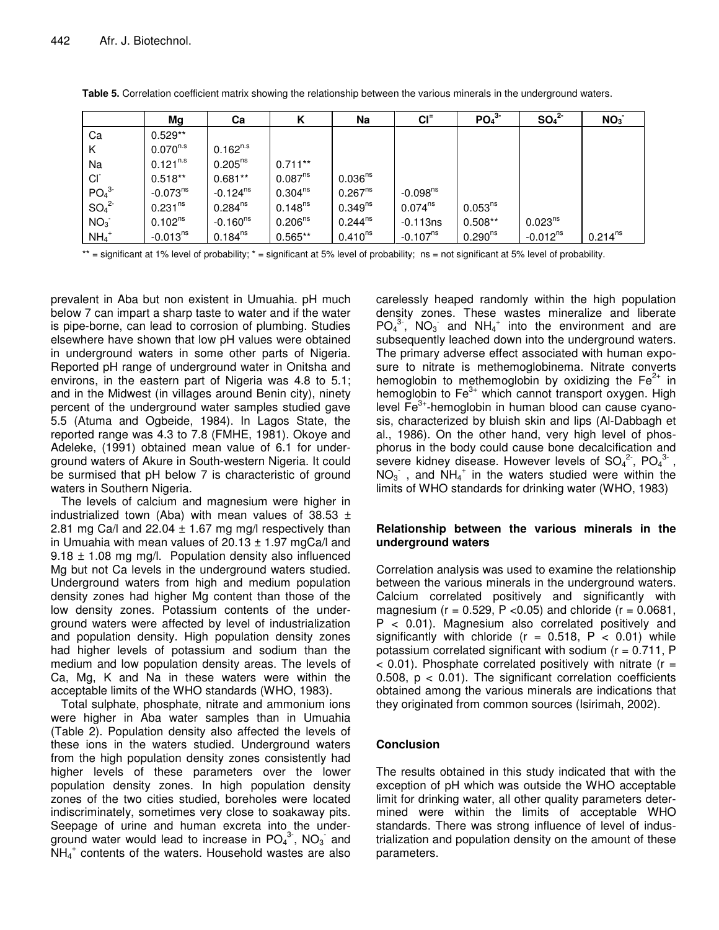|                              | Mg                  | Ca            | К                   | Na                  | $CI=$                  | PO <sub>4</sub> <sup>3</sup> | SO <sub>4</sub> <sup>2</sup> | NO <sub>3</sub> |
|------------------------------|---------------------|---------------|---------------------|---------------------|------------------------|------------------------------|------------------------------|-----------------|
| Ca                           | $0.529**$           |               |                     |                     |                        |                              |                              |                 |
| K                            | $0.070^{n.s}$       | $0.162^{n.s}$ |                     |                     |                        |                              |                              |                 |
| Na                           | $0.121^{n.s}$       | $0.205^{ns}$  | $0.711***$          |                     |                        |                              |                              |                 |
| CI                           | $0.518**$           | $0.681**$     | 0.087 <sup>ns</sup> | 0.036 <sup>ns</sup> |                        |                              |                              |                 |
| PO <sub>4</sub> <sup>3</sup> | $-0.073^{ns}$       | $-0.124^{ns}$ | $0.304^{ns}$        | $0.267^{ns}$        | $-0.098$ <sup>ns</sup> |                              |                              |                 |
| SO <sub>4</sub> <sup>2</sup> | 0.231 <sup>ns</sup> | $0.284^{ns}$  | $0.148^{ns}$        | $0.349^{ns}$        | $0.074^{ns}$           | $0.053^{ns}$                 |                              |                 |
| NO <sub>3</sub>              | $0.102^{ns}$        | $-0.160^{ns}$ | $0.206^{ns}$        | $0.244^{ns}$        | $-0.113ns$             | $0.508**$                    | $0.023^{ns}$                 |                 |
| $NH_4$ <sup>+</sup>          | $-0.013^{ns}$       | $0.184^{ns}$  | $0.565**$           | $0.410^{ns}$        | $-0.107^{ns}$          | $0.290^{ns}$                 | $-0.012^{ns}$                | $0.214^{ns}$    |

**Table 5.** Correlation coefficient matrix showing the relationship between the various minerals in the underground waters.

 $**$  = significant at 1% level of probability;  $*$  = significant at 5% level of probability; ns = not significant at 5% level of probability.

prevalent in Aba but non existent in Umuahia. pH much below 7 can impart a sharp taste to water and if the water is pipe-borne, can lead to corrosion of plumbing. Studies elsewhere have shown that low pH values were obtained in underground waters in some other parts of Nigeria. Reported pH range of underground water in Onitsha and environs, in the eastern part of Nigeria was 4.8 to 5.1; and in the Midwest (in villages around Benin city), ninety percent of the underground water samples studied gave 5.5 (Atuma and Ogbeide, 1984). In Lagos State, the reported range was 4.3 to 7.8 (FMHE, 1981). Okoye and Adeleke, (1991) obtained mean value of 6.1 for underground waters of Akure in South-western Nigeria. It could be surmised that pH below 7 is characteristic of ground waters in Southern Nigeria.

The levels of calcium and magnesium were higher in industrialized town (Aba) with mean values of 38.53  $\pm$ 2.81 mg Ca/l and 22.04  $\pm$  1.67 mg mg/l respectively than in Umuahia with mean values of  $20.13 \pm 1.97$  mgCa/l and  $9.18 \pm 1.08$  mg mg/l. Population density also influenced Mg but not Ca levels in the underground waters studied. Underground waters from high and medium population density zones had higher Mg content than those of the low density zones. Potassium contents of the underground waters were affected by level of industrialization and population density. High population density zones had higher levels of potassium and sodium than the medium and low population density areas. The levels of Ca, Mg, K and Na in these waters were within the acceptable limits of the WHO standards (WHO, 1983).

Total sulphate, phosphate, nitrate and ammonium ions were higher in Aba water samples than in Umuahia (Table 2). Population density also affected the levels of these ions in the waters studied. Underground waters from the high population density zones consistently had higher levels of these parameters over the lower population density zones. In high population density zones of the two cities studied, boreholes were located indiscriminately, sometimes very close to soakaway pits. Seepage of urine and human excreta into the underground water would lead to increase in  $PO_4^{3}$ ,  $NO_3$  and NH<sup>4</sup> + contents of the waters. Household wastes are also

carelessly heaped randomly within the high population density zones. These wastes mineralize and liberate  $PO_4^{3.7}$ , NO<sub>3</sub> and NH<sub>4</sub><sup>+</sup> into the environment and are subsequently leached down into the underground waters. The primary adverse effect associated with human exposure to nitrate is methemoglobinema. Nitrate converts hemoglobin to methemoglobin by oxidizing the  $\text{Fe}^{2+}$  in hemoglobin to Fe<sup>3+</sup> which cannot transport oxygen. High level Fe<sup>3+</sup>-hemoglobin in human blood can cause cyanosis, characterized by bluish skin and lips (Al-Dabbagh et al., 1986). On the other hand, very high level of phosphorus in the body could cause bone decalcification and severe kidney disease. However levels of  $SO_4^2$ , PO $_4^3$ ,  $NO<sub>3</sub>$  , and  $NH<sub>4</sub><sup>+</sup>$  in the waters studied were within the limits of WHO standards for drinking water (WHO, 1983)

## **Relationship between the various minerals in the underground waters**

Correlation analysis was used to examine the relationship between the various minerals in the underground waters. Calcium correlated positively and significantly with magnesium ( $r = 0.529$ , P < 0.05) and chloride ( $r = 0.0681$ ,  $P < 0.01$ ). Magnesium also correlated positively and significantly with chloride ( $r = 0.518$ ,  $P < 0.01$ ) while potassium correlated significant with sodium  $(r = 0.711, P)$  $<$  0.01). Phosphate correlated positively with nitrate ( $r =$ 0.508,  $p < 0.01$ ). The significant correlation coefficients obtained among the various minerals are indications that they originated from common sources (Isirimah, 2002).

## **Conclusion**

The results obtained in this study indicated that with the exception of pH which was outside the WHO acceptable limit for drinking water, all other quality parameters determined were within the limits of acceptable WHO standards. There was strong influence of level of industrialization and population density on the amount of these parameters.